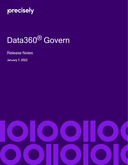

# Data360<sup>®</sup> Govern

Release Notes

January 7, 2022

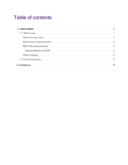## Table of contents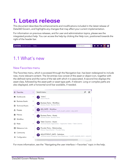# <span id="page-2-0"></span>**1. Latest release**

This document describes the enhancements and modifications included in the latest release of Data360 Govern, and highlights any changes that may affect your current implementation.

For information on previous releases, and for user and administration topics, please see the integrated product help. You can access the help by clicking the Help icon, positioned towards the right of the header bar.

| <b>precisely</b> Data360 Govern<br>Home |  | ▬ | . . | ◢ |  |
|-----------------------------------------|--|---|-----|---|--|
|                                         |  |   |     |   |  |

### <span id="page-2-1"></span>1.1 What's new

#### <span id="page-2-2"></span>New Favorites menu

The Favorites menu, which is accessed through the Navigation bar, has been redesigned to include new, more relevant content. The list entries now consist of the asset or object icon, together with the defined name and the name of the tab with which it is associated. A second line displays the asset class, followed by the asset path or asset type path, if relevant. Long or complex paths are also displayed, with a horizontal scroll bar available, if needed.



For more information, see the "Navigating the user interface > Favorites" topic in the help.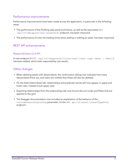#### <span id="page-3-0"></span>Performance improvements

Performance improvements have been made across the application, in particular in the following areas:

- The performance of the Profiling side panel and history, as well as the associated GET /api/v2/dataprofiles/{assetUid} endpoint, has been improved.
- The performance of color list loading times when adding or editing an asset, has been improved.

#### <span id="page-3-1"></span>REST API enhancements

#### <span id="page-3-2"></span>Responsibilities v2.0 API

A new endpoint (POST /api/v2/responsibilities/test/{test type (when | then)}) has been added, which tests responsibility rule results.

#### <span id="page-3-3"></span>Other changes

- When deleting assets with descendants, the confirmation dialog now indicates how many descendants there are, and users are notified that these will also be deleted.
- On the Add relationships tab, relationships and predicate names will now appear in upper and lower case, instead of just upper case.
- Exporting relationships from the relationships tab now honors the sort order and filters that are applied to the grid.
- The Swagger documentation now includes an explanation of the behavior of the includeOwnershipLookup parameter, on the GET api/v2/asset/{assetTypeUid} endpoint.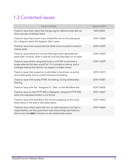### <span id="page-4-0"></span>1.2 Corrected issues

| <b>Issue summary</b>                                                                                                                                                                                   | <b>Issue number</b> |
|--------------------------------------------------------------------------------------------------------------------------------------------------------------------------------------------------------|---------------------|
| Fixed an issue that meant the change log for reference lists did not<br>show records of deleted items.                                                                                                 | GOV-6452            |
| Fixed an issue that meant if you clicked the link on the side panel<br>for a diagram asset, the diagram didn't open.                                                                                   | GOV-16384           |
| Fixed an issue that caused decimal fields to be rounded in relation<br>lookup grids.                                                                                                                   | GOV-16502           |
| Fixed an issue where the counter field type didn't generate the<br>asset path correctly, when it was the only key field type on an asset.                                                              | GOV-16524           |
| Fixed an issue where using bulk load or a V2 API to promote a<br>single selected list item would fail, if it included a comma, with a<br>message stating that lists do not support multiple values.    | GOV-16539           |
| Fixed an issue that caused an invalid date to be shown on policy<br>and model grids, due to invalid timezone formatting.                                                                               | GOV-16573           |
| Fixed an issue with tooltip HTML formatting, during relationship<br>filtering.                                                                                                                         | GOV-16587           |
| Fixed an issue with the "Assigned to" filter, on the Workflow tab.                                                                                                                                     | GOV-16628           |
| Fixed an issue so that HTTP 404 is displayed, instead of HTTP 500,<br>when the requested artifact is not found.                                                                                        | GOV-16637           |
| Fixed an issue that resulted in the correct wrapping of very long<br>field names in the add or edit asset editor.                                                                                      | GOV-16652           |
| Fixed an issue where users that are not administrators, but have a<br>responsibility rule that gives them add relationships permissions,<br>did not see the Add (+) button on the relationship screen. | GOV-16666           |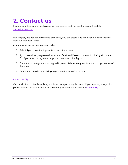# <span id="page-5-0"></span>**2. Contact us**

If you encounter any technical issues, we recommend that you visit the support portal at [support.infogix.com](https://support.infogix.com/hc/en-us).

If your query has not been discussed previously, you can create a new topic and receive answers from our product experts.

Alternatively, you can log a support ticket:

- 1. Select Sign in from the top right corner of the screen.
- 2. If you have already registered, enter your Email and Password, then click the Sign in button. Or, if you are not a registered support portal user, click Sign up.
- 3. Once you have registered and signed in, select Submit a request from the top right corner of the screen.
- 4. Complete all fields, then click Submit at the bottom of the screen.

#### **Community**

Our product is constantly evolving and input from you is highly valued. If you have any suggestions, please contact the product team by submitting a feature request on the **[Community](https://support.infogix.com/hc/en-us/community/topics/360000029388-Data3Sixty-Govern)**.